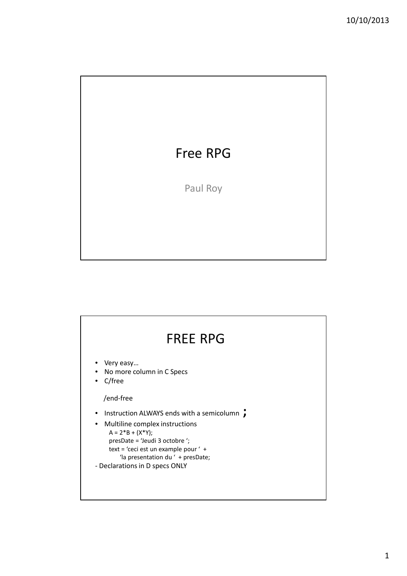

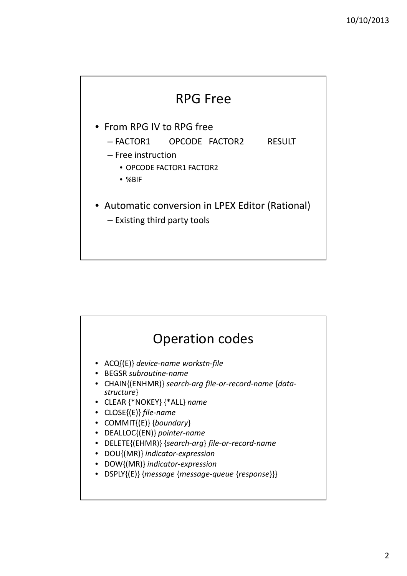

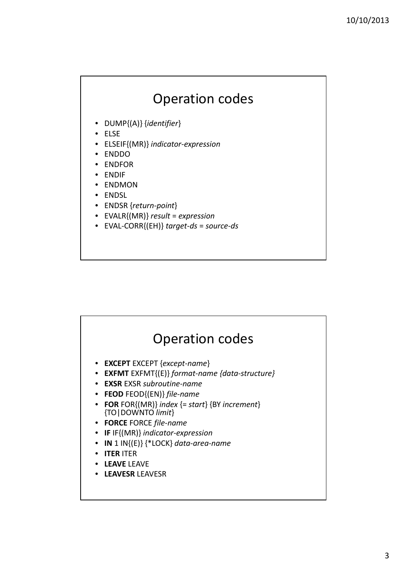## Operation codes

- DUMP{(A)} {*identifier*}
- ELSE
- ELSEIF{(MR)} *indicator-expression*
- ENDDO
- ENDFOR
- ENDIF
- ENDMON
- ENDSL
- ENDSR {*return-point*}
- EVALR{(MR)} *result* = *expression*
- EVAL-CORR{(EH)} *target-ds* = *source-ds*

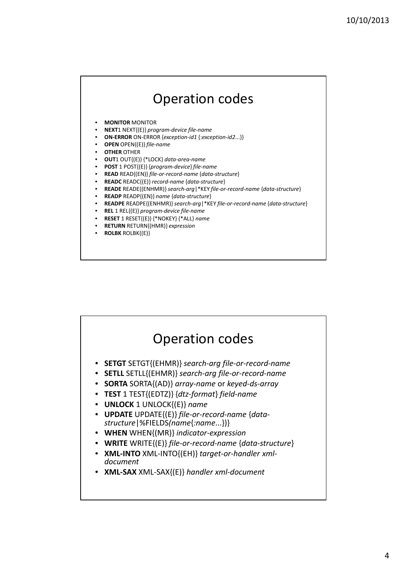## Operation codes

- **MONITOR** MONITOR
- **NEXT**1 NEXT{(E)} *program-device file-name*
- **ON-ERROR** ON-ERROR {*exception-id1* {:*exception-id2*...}}
- **OPEN** OPEN{(E)} *file-name*
- **OTHER** OTHER
- **OUT**1 OUT{(E)} {\*LOCK} *data-area-name*
- **POST** 1 POST{(E)} {*program-device*} *file-name*
- **READ** READ{(EN)} *file-or-record-name* {*data-structure*}
- **READC** READC{(E)} *record-name* {*data-structure*}
- **READE** READE{(ENHMR)} *search-arg*|\*KEY *file-or-record-name* {*data-structure*}
- **READP** READP{(EN)} *name* {*data-structure*}
- **READPE** READPE{(ENHMR)} *search-arg*|\*KEY *file-or-record-name* {*data-structure*}
- **REL** 1 REL{(E)} *program-device file-name*
- **RESET** 1 RESET{(E)} {\*NOKEY} {\*ALL} *name*
- **RETURN** RETURN{(HMR)} *expression*
- **ROLBK** ROLBK{(E)}

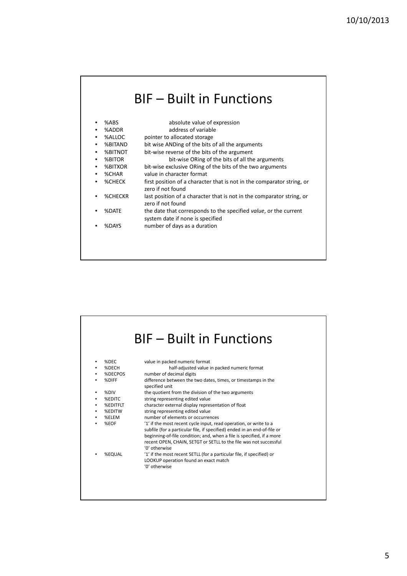|               | <b>BIF - Built in Functions</b>                                                                      |
|---------------|------------------------------------------------------------------------------------------------------|
| %ARS          | absolute value of expression                                                                         |
| %ADDR         | address of variable                                                                                  |
| %ALLOC        | pointer to allocated storage                                                                         |
| %BITAND       | bit wise ANDing of the bits of all the arguments                                                     |
| %BITNOT       | bit-wise reverse of the bits of the argument                                                         |
| %BITOR        | bit-wise ORing of the bits of all the arguments                                                      |
| %BITXOR       | bit-wise exclusive ORing of the bits of the two arguments                                            |
| %CHAR         | value in character format                                                                            |
| <b>%CHECK</b> | first position of a character that is not in the comparator string, or<br>zero if not found          |
| %CHECKR       | last position of a character that is not in the comparator string, or<br>zero if not found           |
| %DATE         | the date that corresponds to the specified value, or the current<br>system date if none is specified |
| %DAYS         | number of days as a duration                                                                         |
|               |                                                                                                      |

|                        | <b>BIF - Built in Functions</b>                                                                                                                                                                                                                                                                                                                                                |
|------------------------|--------------------------------------------------------------------------------------------------------------------------------------------------------------------------------------------------------------------------------------------------------------------------------------------------------------------------------------------------------------------------------|
| %DEC<br>%DECH<br>%DIFF | value in packed numeric format<br>half-adjusted value in packed numeric format<br>%DECPOS<br>number of decimal digits<br>difference between the two dates, times, or timestamps in the                                                                                                                                                                                         |
| %DIV<br><b>%EDITC</b>  | specified unit<br>the quotient from the division of the two arguments<br>string representing edited value<br>character external display representation of float<br><b>%EDITFLT</b>                                                                                                                                                                                             |
| %ELEM<br>%EOF          | string representing edited value<br>%EDITW<br>number of elements or occurrences<br>'1' if the most recent cycle input, read operation, or write to a<br>subfile (for a particular file, if specified) ended in an end-of-file or<br>beginning-of-file condition; and, when a file is specified, if a more<br>recent OPEN, CHAIN, SETGT or SETLL to the file was not successful |
|                        | '0' otherwise<br>'1' if the most recent SETLL (for a particular file, if specified) or<br><b>%EQUAL</b><br>LOOKUP operation found an exact match<br>'0' otherwise                                                                                                                                                                                                              |
|                        |                                                                                                                                                                                                                                                                                                                                                                                |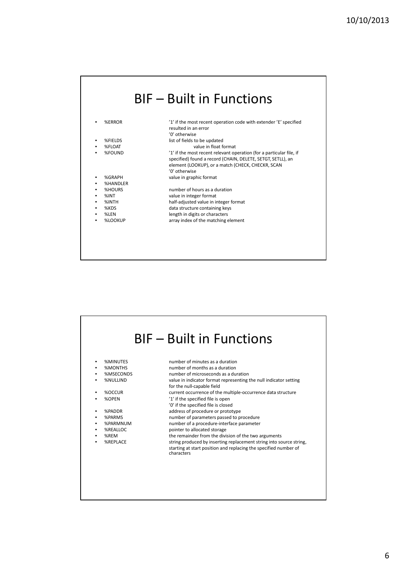| %ERROR        | '1' if the most recent operation code with extender 'E' specified                                                                                                                        |
|---------------|------------------------------------------------------------------------------------------------------------------------------------------------------------------------------------------|
|               | resulted in an error                                                                                                                                                                     |
|               | '0' otherwise                                                                                                                                                                            |
| %FIELDS       | list of fields to be updated                                                                                                                                                             |
| %FLOAT        | value in float format                                                                                                                                                                    |
| %FOUND        | '1' if the most recent relevant operation (for a particular file, if<br>specified) found a record (CHAIN, DELETE, SETGT, SETLL), an<br>element (LOOKUP), or a match (CHECK, CHECKR, SCAN |
|               | '0' otherwise                                                                                                                                                                            |
| %GRAPH        | value in graphic format                                                                                                                                                                  |
| %HANDLER      |                                                                                                                                                                                          |
| <b>%HOURS</b> | number of hours as a duration                                                                                                                                                            |
| $%$ INT       | value in integer format                                                                                                                                                                  |
| %INTH         | half-adjusted value in integer format                                                                                                                                                    |
| %KDS          | data structure containing keys                                                                                                                                                           |
| %LEN          | length in digits or characters                                                                                                                                                           |
| %LOOKUP       | array index of the matching element                                                                                                                                                      |

| %MINUTES        | number of minutes as a duration                                                                 |
|-----------------|-------------------------------------------------------------------------------------------------|
| <b>%MONTHS</b>  | number of months as a duration                                                                  |
| %MSECONDS       | number of microseconds as a duration                                                            |
| <b>%NULLIND</b> | value in indicator format representing the null indicator setting<br>for the null-capable field |
| %OCCUR          | current occurrence of the multiple-occurrence data structure                                    |
| %OPEN           | '1' if the specified file is open                                                               |
|                 | '0' if the specified file is closed                                                             |
| %PADDR          | address of procedure or prototype                                                               |
| %PARMS          | number of parameters passed to procedure                                                        |
| %PARMNUM        | number of a procedure-interface parameter                                                       |
| %REALLOC        | pointer to allocated storage                                                                    |
| %REM            | the remainder from the division of the two arguments                                            |
| <b>%REPLACE</b> | string produced by inserting replacement string into source string.                             |
|                 | starting at start position and replacing the specified number of<br>characters                  |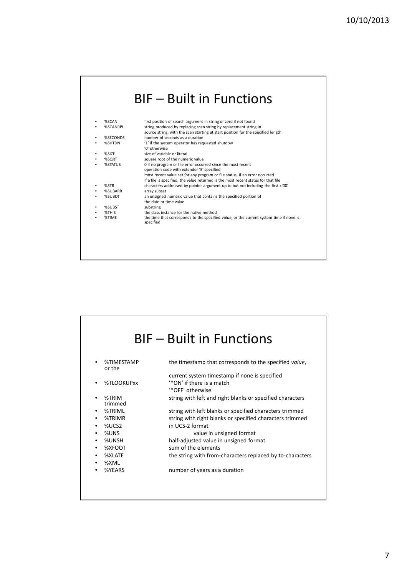## BIF – Built in Functions

|   | %SCAN    | first position of search argument in string or zero if not found                                     |
|---|----------|------------------------------------------------------------------------------------------------------|
|   | %SCANRPL | string produced by replacing scan string by replacement string in                                    |
|   |          | source string, with the scan starting at start position for the specified length                     |
|   | %SECONDS | number of seconds as a duration                                                                      |
| ٠ | %SHTDN   | '1' if the system operator has requested shutdow                                                     |
|   |          | '0' otherwise                                                                                        |
| ٠ | %SIZE    | size of variable or literal                                                                          |
|   | %SQRT    | square root of the numeric value                                                                     |
|   | %STATUS  | 0 if no program or file error occurred since the most recent                                         |
|   |          | operation code with extender 'E' specified                                                           |
|   |          | most recent value set for any program or file status, if an error occurred                           |
|   |          | if a file is specified, the value returned is the most recent status for that file                   |
|   | %STR     | characters addressed by pointer argument up to but not including the first x'00'                     |
|   | %SUBARR  | array subset                                                                                         |
|   | %SUBDT   | an unsigned numeric value that contains the specified portion of                                     |
|   |          | the date or time value                                                                               |
| ٠ | %SUBST   | substring                                                                                            |
| ٠ | %THIS    | the class instance for the native method                                                             |
| ٠ | %TIMF    | the time that corresponds to the specified value, or the current system time if none is<br>specified |
|   |          |                                                                                                      |
|   |          |                                                                                                      |
|   |          |                                                                                                      |
|   |          |                                                                                                      |
|   |          |                                                                                                      |

|                      | <b>BIF</b> – Built in Functions                           |
|----------------------|-----------------------------------------------------------|
| %TIMESTAMP<br>or the | the timestamp that corresponds to the specified value,    |
|                      | current system timestamp if none is specified             |
| %TLOOKUPxx           | '*ON' if there is a match                                 |
|                      | '*OFF' otherwise                                          |
| %TRIM                | string with left and right blanks or specified characters |
| trimmed              |                                                           |
| %TRIML               | string with left blanks or specified characters trimmed   |
| %TRIMR<br>٠          | string with right blanks or specified characters trimmed  |
| %UCS2                | in UCS-2 format                                           |
| %UNS                 | value in unsigned format                                  |
| %UNSH<br>٠           | half-adjusted value in unsigned format                    |
| %XFOOT<br>٠          | sum of the elements                                       |
| %XLATE<br>٠          | the string with from-characters replaced by to-characters |
| %XML                 |                                                           |
| %YEARS               | number of years as a duration                             |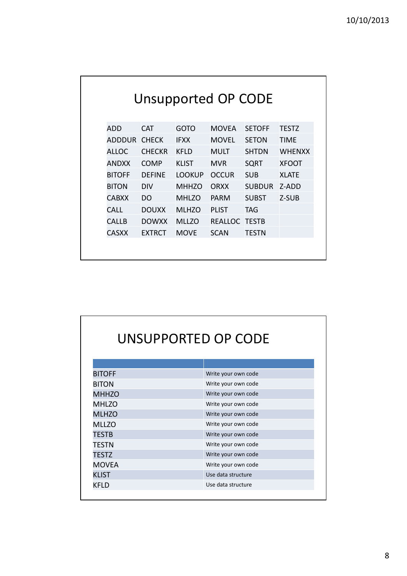| Unsupported OP CODE |               |               |               |               |               |
|---------------------|---------------|---------------|---------------|---------------|---------------|
| ADD                 | <b>CAT</b>    | <b>GOTO</b>   | <b>MOVEA</b>  | <b>SETOFF</b> | <b>TESTZ</b>  |
| <b>ADDDUR</b>       | <b>CHFCK</b>  | <b>IFXX</b>   | <b>MOVEL</b>  | <b>SETON</b>  | TIMF          |
| <b>ALLOC</b>        | <b>CHFCKR</b> | <b>KFLD</b>   | <b>MULT</b>   | <b>SHTDN</b>  | <b>WHFNXX</b> |
| <b>ANDXX</b>        | <b>COMP</b>   | <b>KLIST</b>  | <b>MVR</b>    | <b>SQRT</b>   | <b>XFOOT</b>  |
| <b>BITOFF</b>       | <b>DEFINE</b> | <b>LOOKUP</b> | <b>OCCUR</b>  | <b>SUB</b>    | <b>XLATF</b>  |
| <b>BITON</b>        | <b>DIV</b>    | <b>MHHZO</b>  | ORXX          | <b>SUBDUR</b> | Z-ADD         |
| <b>CABXX</b>        | DO            | <b>MHLZO</b>  | <b>PARM</b>   | <b>SUBST</b>  | Z-SUB         |
| CALL                | <b>DOUXX</b>  | <b>MLHZO</b>  | <b>PLIST</b>  | <b>TAG</b>    |               |
| <b>CALLB</b>        | <b>DOWXX</b>  | <b>MLLZO</b>  | REALLOC TESTB |               |               |
| <b>CASXX</b>        | <b>EXTRCT</b> | <b>MOVE</b>   | <b>SCAN</b>   | <b>TESTN</b>  |               |
|                     |               |               |               |               |               |

|               | UNSUPPORTED OP CODE |
|---------------|---------------------|
|               |                     |
| <b>BITOFF</b> | Write your own code |
| <b>BITON</b>  | Write your own code |
| <b>MHHZO</b>  | Write your own code |
| <b>MHLZO</b>  | Write your own code |
| <b>MLHZO</b>  | Write your own code |
| <b>MLLZO</b>  | Write your own code |
| TESTB         | Write your own code |
| TESTN         | Write your own code |
| TESTZ         | Write your own code |
| <b>MOVEA</b>  | Write your own code |
| <b>KLIST</b>  | Use data structure  |
| KFLD          | Use data structure  |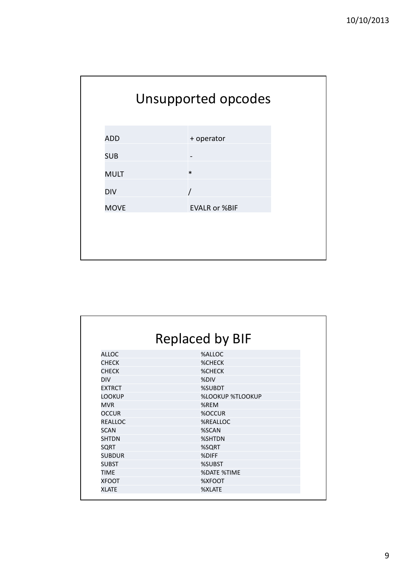

|                | <b>Replaced by BIF</b>  |
|----------------|-------------------------|
| <b>ALLOC</b>   | %ALLOC                  |
| <b>CHECK</b>   | <b>%CHECK</b>           |
| <b>CHECK</b>   | <b>%CHECK</b>           |
| <b>DIV</b>     | %DIV                    |
| <b>EXTRCT</b>  | %SUBDT                  |
| <b>LOOKUP</b>  | <b>%LOOKUP %TLOOKUP</b> |
| <b>MVR</b>     | %REM                    |
| <b>OCCUR</b>   | %OCCUR                  |
| <b>REALLOC</b> | %REALLOC                |
| <b>SCAN</b>    | %SCAN                   |
| <b>SHTDN</b>   | %SHTDN                  |
| SQRT           | %SQRT                   |
| <b>SUBDUR</b>  | %DIFF                   |
| <b>SUBST</b>   | %SUBST                  |
| <b>TIME</b>    | <b>%DATE %TIME</b>      |
| <b>XFOOT</b>   | %XFOOT                  |
| <b>XLATE</b>   | %XLATE                  |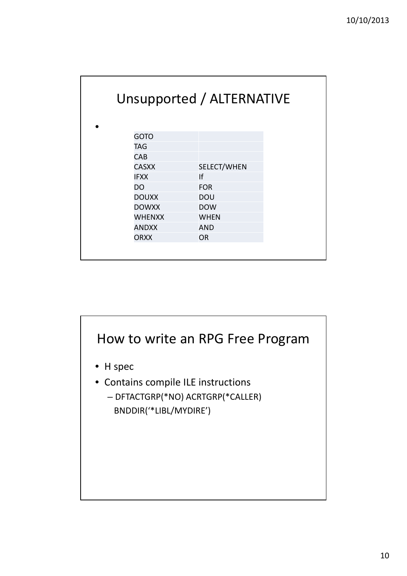|               | Unsupported / ALTERNATIVE |  |
|---------------|---------------------------|--|
| <b>GOTO</b>   |                           |  |
| <b>TAG</b>    |                           |  |
| <b>CAB</b>    |                           |  |
| <b>CASXX</b>  | SELECT/WHEN               |  |
| <b>IFXX</b>   | If                        |  |
| DO.           | <b>FOR</b>                |  |
| <b>DOUXX</b>  | <b>DOU</b>                |  |
| <b>DOWXX</b>  | <b>DOW</b>                |  |
| <b>WHENXX</b> | <b>WHEN</b>               |  |
| <b>ANDXX</b>  | <b>AND</b>                |  |
| <b>ORXX</b>   | <b>OR</b>                 |  |
|               |                           |  |

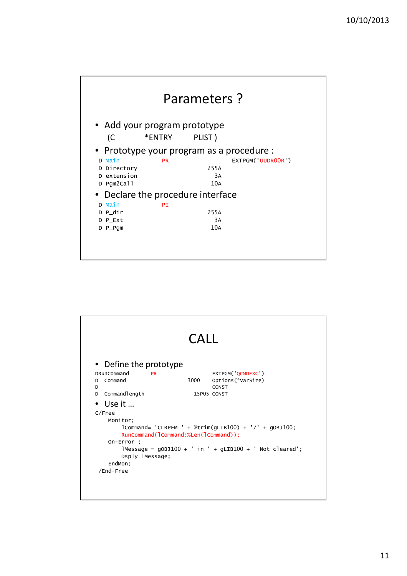